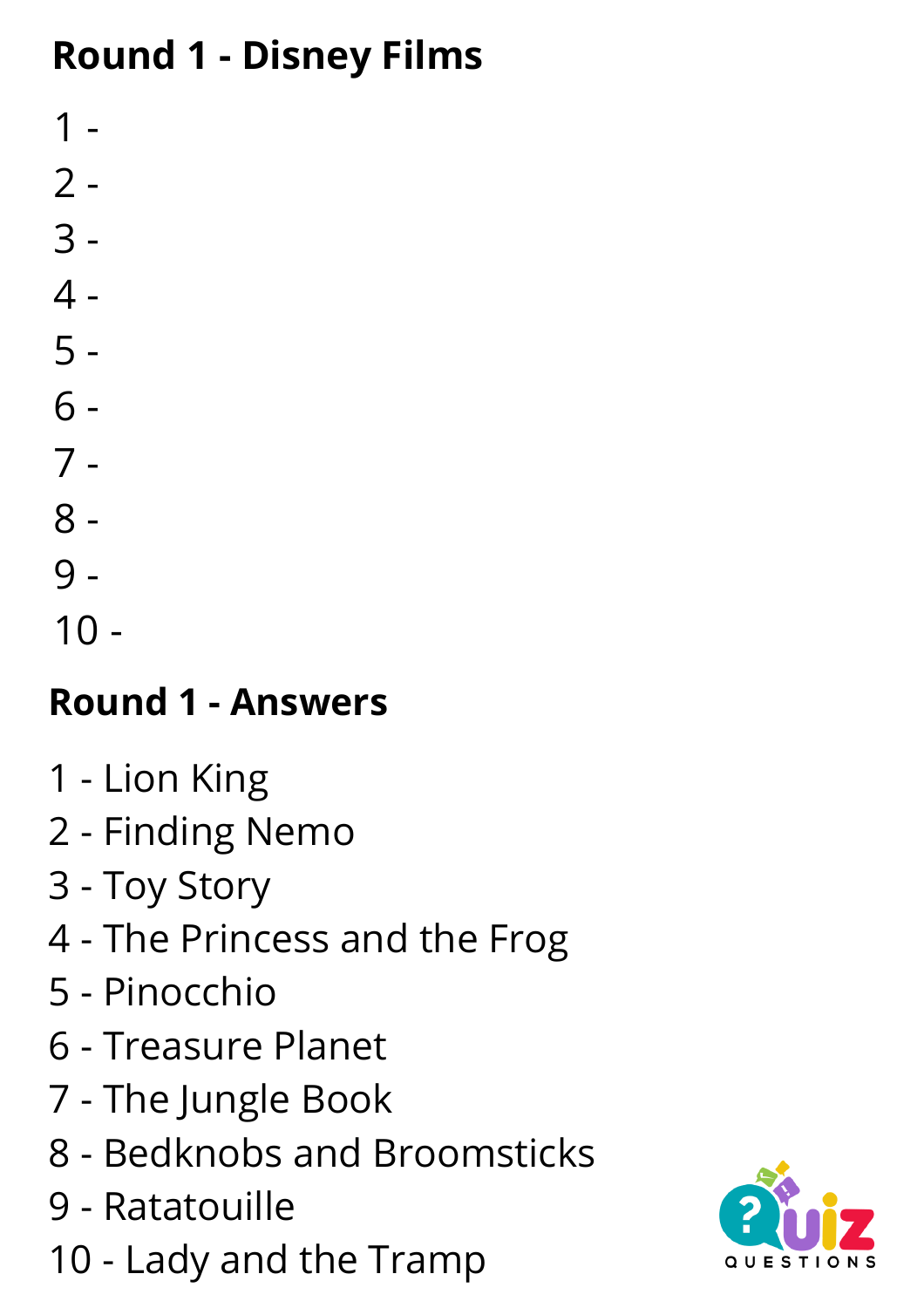### **Round 1 - Disney Films**

- $1 -$
- -
- -
- -
- -
- -
- -
- -
- 
- -
- -

# **Round 1 - Answers**

- Lion King
- Finding Nemo
- Toy Story
- The Princess and the Frog
- Pinocchio
- Treasure Planet
- The Jungle Book
- Bedknobs and Broomsticks
- Ratatouille
- Lady and the [Tramp](https://en.wikipedia.org/wiki/Lady_and_the_Tramp)

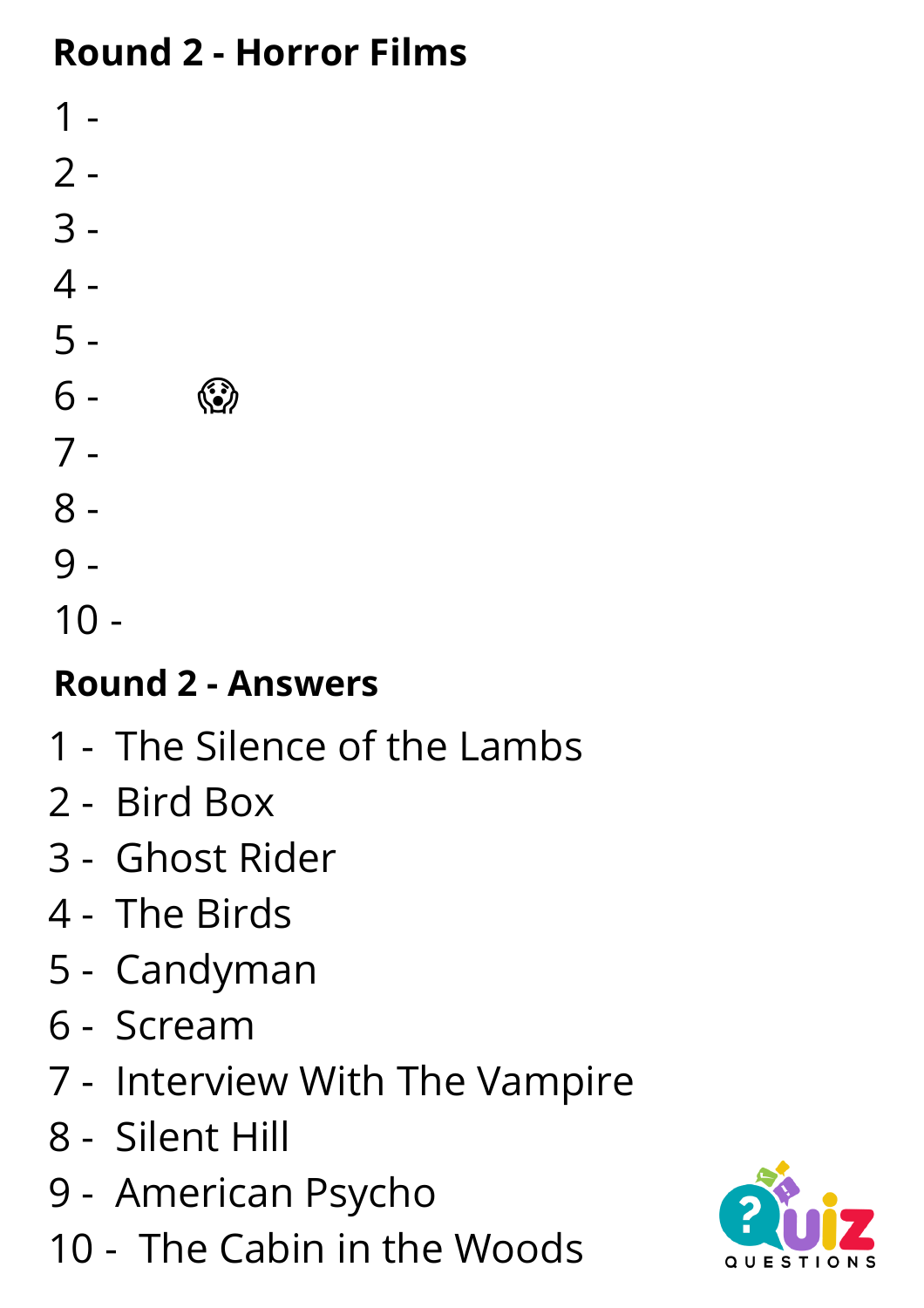### **Round 2 - Horror Films**

 - - - - - - - - -

 $10 -$ 

### **Round 2 - Answers**

- The Silence of the Lambs
- Bird Box
- Ghost Rider
- The Birds
- Candyman
- Scream
- Interview With The Vampire
- Silent Hill
- American Psycho
- The Cabin in the Woods

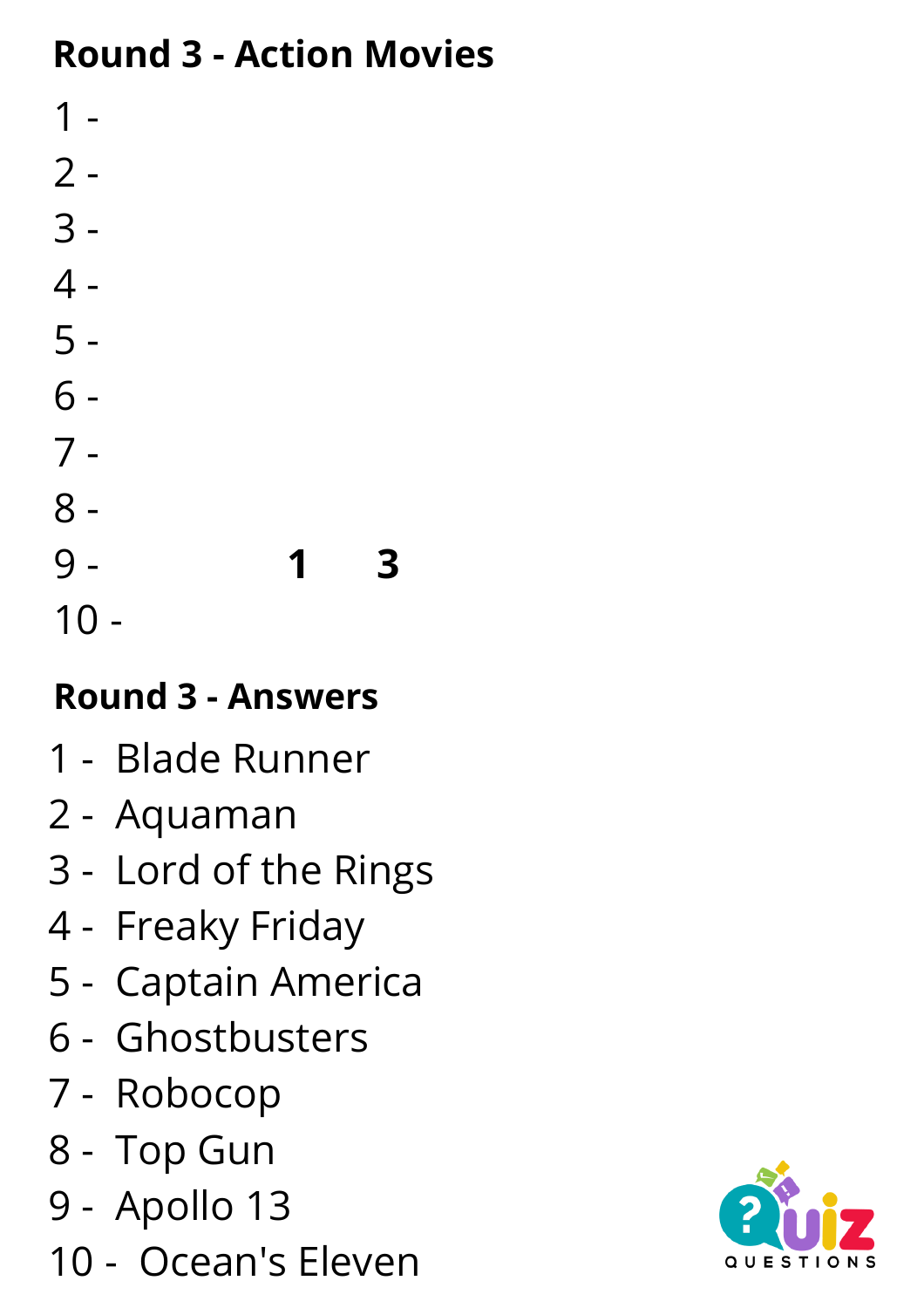### **Round 3 - Action Movies**

 - - - - - - - - - **1️⃣ 3️⃣** -

# **Round 3 - Answers**

- Blade Runner
- Aquaman
- Lord of the Rings
- Freaky Friday
- Captain America
- Ghostbusters
- Robocop
- Top Gun
- Apollo 13
- Ocean's Eleven

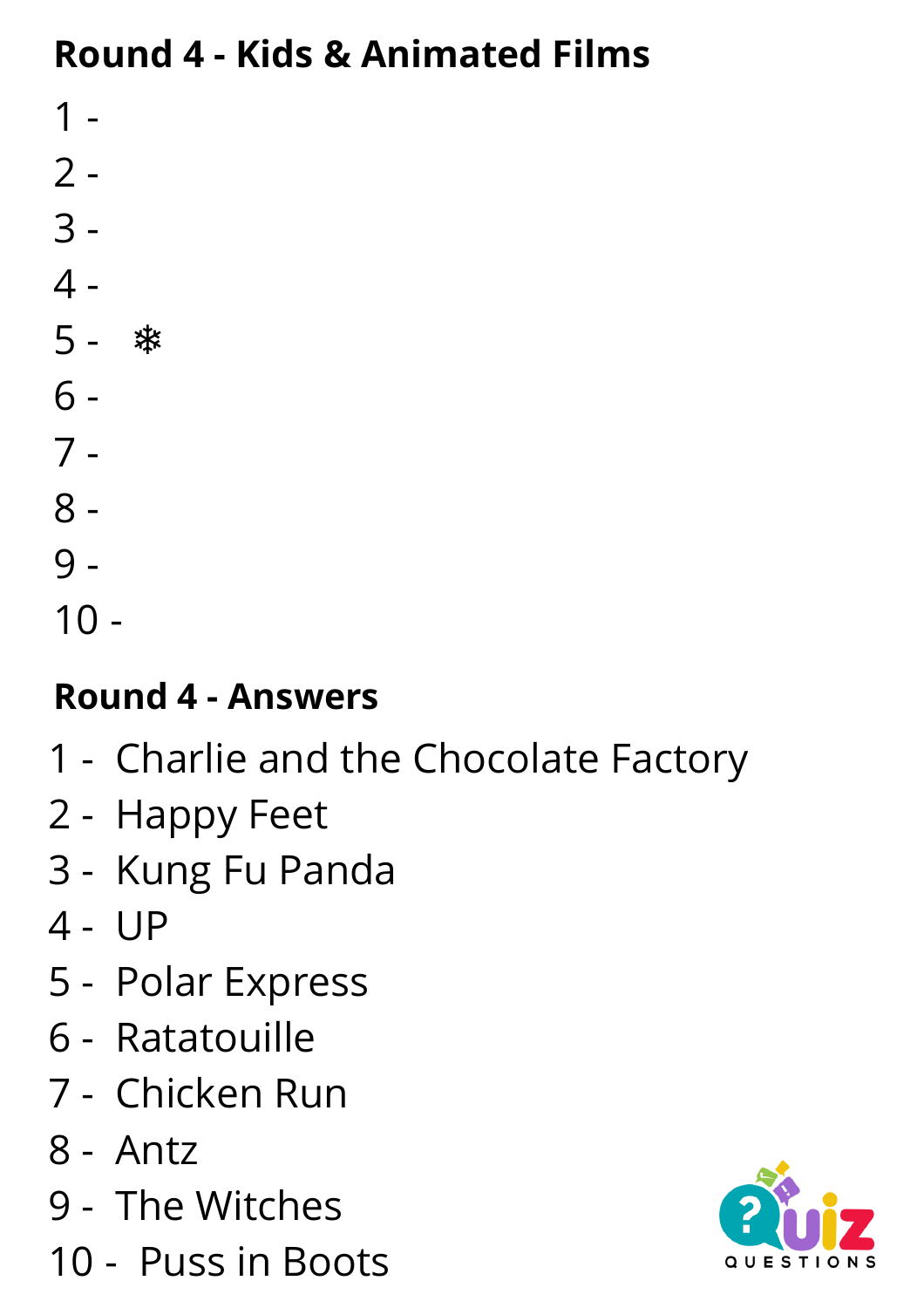#### **Round 4 - Kids & Animated Films**

- -
- -
- -
- ❄️
- 
- -
- -
- -
- -
- $10 -$

# **Round 4 - Answers**

- Charlie and the Chocolate Factory
- Happy Feet
- Kung Fu Panda
- UP
- Polar Express
- Ratatouille
- Chicken Run
- Antz
- The [Witches](https://www.imdb.com/title/tt0100944/)
- Puss in Boots